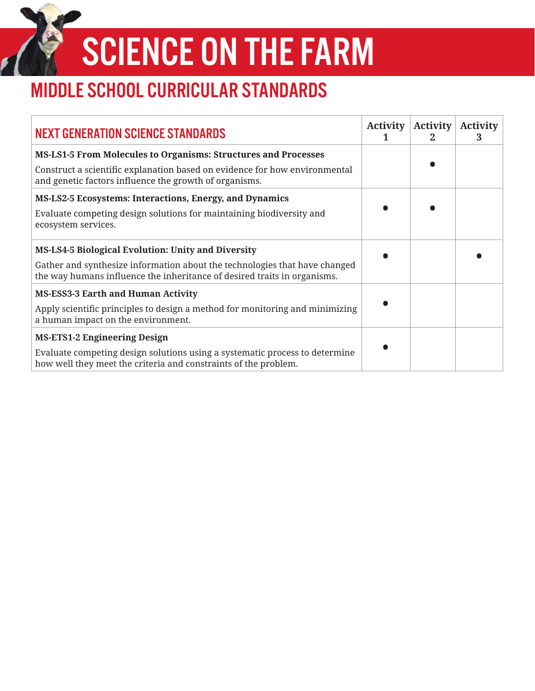SCIENCE ON THE FARM

## MIDDLE SCHOOL CURRICULAR STANDARDS

| <b>NEXT GENERATION SCIENCE STANDARDS</b>                                                                                                               | <b>Activity</b> | <b>Activity</b><br>2 | <b>Activity</b><br>З |
|--------------------------------------------------------------------------------------------------------------------------------------------------------|-----------------|----------------------|----------------------|
| <b>MS-LS1-5 From Molecules to Organisms: Structures and Processes</b>                                                                                  |                 |                      |                      |
| Construct a scientific explanation based on evidence for how environmental<br>and genetic factors influence the growth of organisms.                   |                 |                      |                      |
| <b>MS-LS2-5 Ecosystems: Interactions, Energy, and Dynamics</b>                                                                                         |                 |                      |                      |
| Evaluate competing design solutions for maintaining biodiversity and<br>ecosystem services.                                                            |                 |                      |                      |
| <b>MS-LS4-5 Biological Evolution: Unity and Diversity</b>                                                                                              |                 |                      |                      |
| Gather and synthesize information about the technologies that have changed<br>the way humans influence the inheritance of desired traits in organisms. |                 |                      |                      |
| <b>MS-ESS3-3 Earth and Human Activity</b>                                                                                                              |                 |                      |                      |
| Apply scientific principles to design a method for monitoring and minimizing<br>a human impact on the environment.                                     |                 |                      |                      |
| <b>MS-ETS1-2 Engineering Design</b>                                                                                                                    |                 |                      |                      |
| Evaluate competing design solutions using a systematic process to determine<br>how well they meet the criteria and constraints of the problem.         |                 |                      |                      |